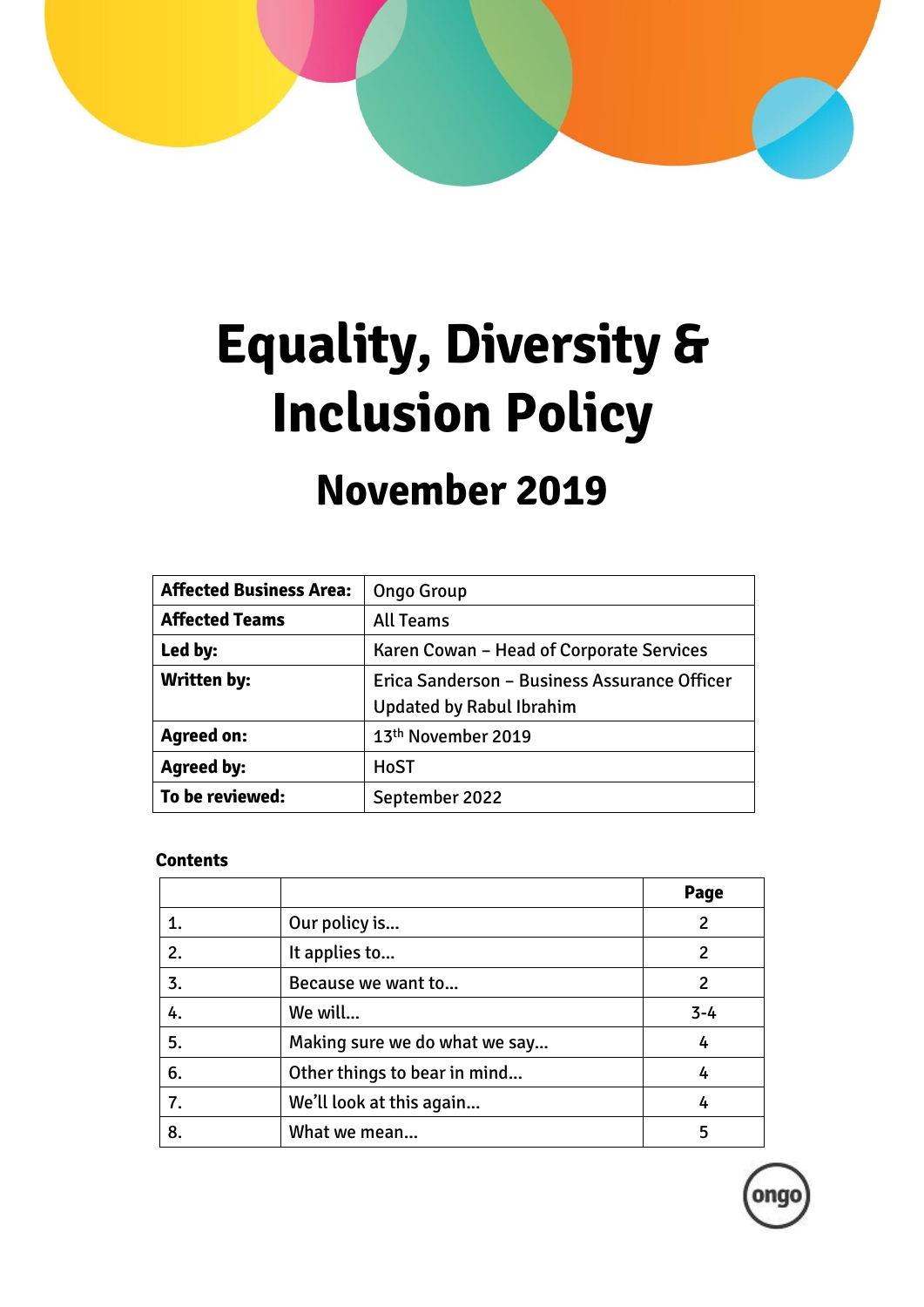

# **Equality, Diversity & Inclusion Policy**

# **November 2019**

| <b>Affected Business Area:</b> | <b>Ongo Group</b>                            |  |
|--------------------------------|----------------------------------------------|--|
| <b>Affected Teams</b>          | <b>All Teams</b>                             |  |
| Led by:                        | Karen Cowan - Head of Corporate Services     |  |
| <b>Written by:</b>             | Erica Sanderson - Business Assurance Officer |  |
|                                | <b>Updated by Rabul Ibrahim</b>              |  |
| <b>Agreed on:</b>              | 13 <sup>th</sup> November 2019               |  |
| <b>Agreed by:</b>              | <b>HoST</b>                                  |  |
| To be reviewed:                | September 2022                               |  |

#### **Contents**

|    |                               | Page    |
|----|-------------------------------|---------|
| 1. | Our policy is                 | 2       |
| 2. | It applies to                 | 2       |
| 3. | Because we want to            | 2       |
| 4. | We will                       | $3 - 4$ |
| 5. | Making sure we do what we say | 4       |
| 6. | Other things to bear in mind  | 4       |
| 7. | We'll look at this again      | 4       |
| 8. | What we mean                  | 5       |

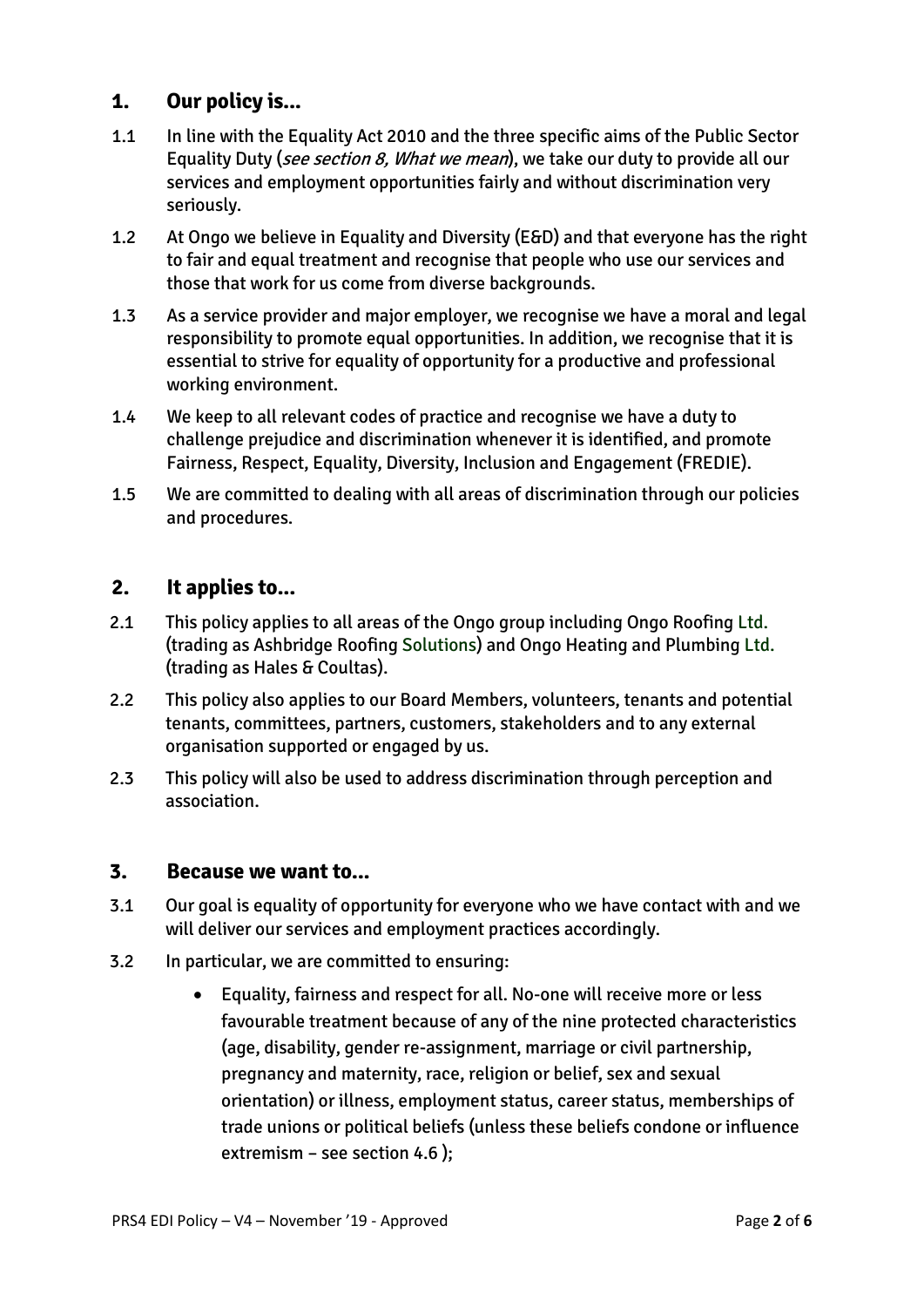# **1. Our policy is...**

- 1.1 In line with the Equality Act 2010 and the three specific aims of the Public Sector Equality Duty (see section 8, What we mean), we take our duty to provide all our services and employment opportunities fairly and without discrimination very seriously.
- 1.2 At Ongo we believe in Equality and Diversity (E&D) and that everyone has the right to fair and equal treatment and recognise that people who use our services and those that work for us come from diverse backgrounds.
- 1.3 As a service provider and major employer, we recognise we have a moral and legal responsibility to promote equal opportunities. In addition, we recognise that it is essential to strive for equality of opportunity for a productive and professional working environment.
- 1.4 We keep to all relevant codes of practice and recognise we have a duty to challenge prejudice and discrimination whenever it is identified, and promote Fairness, Respect, Equality, Diversity, Inclusion and Engagement (FREDIE).
- 1.5 We are committed to dealing with all areas of discrimination through our policies and procedures.

## **2. It applies to...**

- 2.1 This policy applies to all areas of the Ongo group including Ongo Roofing Ltd. (trading as Ashbridge Roofing Solutions) and Ongo Heating and Plumbing Ltd. (trading as Hales & Coultas).
- 2.2 This policy also applies to our Board Members, volunteers, tenants and potential tenants, committees, partners, customers, stakeholders and to any external organisation supported or engaged by us.
- 2.3 This policy will also be used to address discrimination through perception and association.

#### **3. Because we want to...**

- 3.1 Our goal is equality of opportunity for everyone who we have contact with and we will deliver our services and employment practices accordingly.
- 3.2 In particular, we are committed to ensuring:
	- Equality, fairness and respect for all. No-one will receive more or less favourable treatment because of any of the nine protected characteristics (age, disability, gender re-assignment, marriage or civil partnership, pregnancy and maternity, race, religion or belief, sex and sexual orientation) or illness, employment status, career status, memberships of trade unions or political beliefs (unless these beliefs condone or influence extremism – see section 4.6 );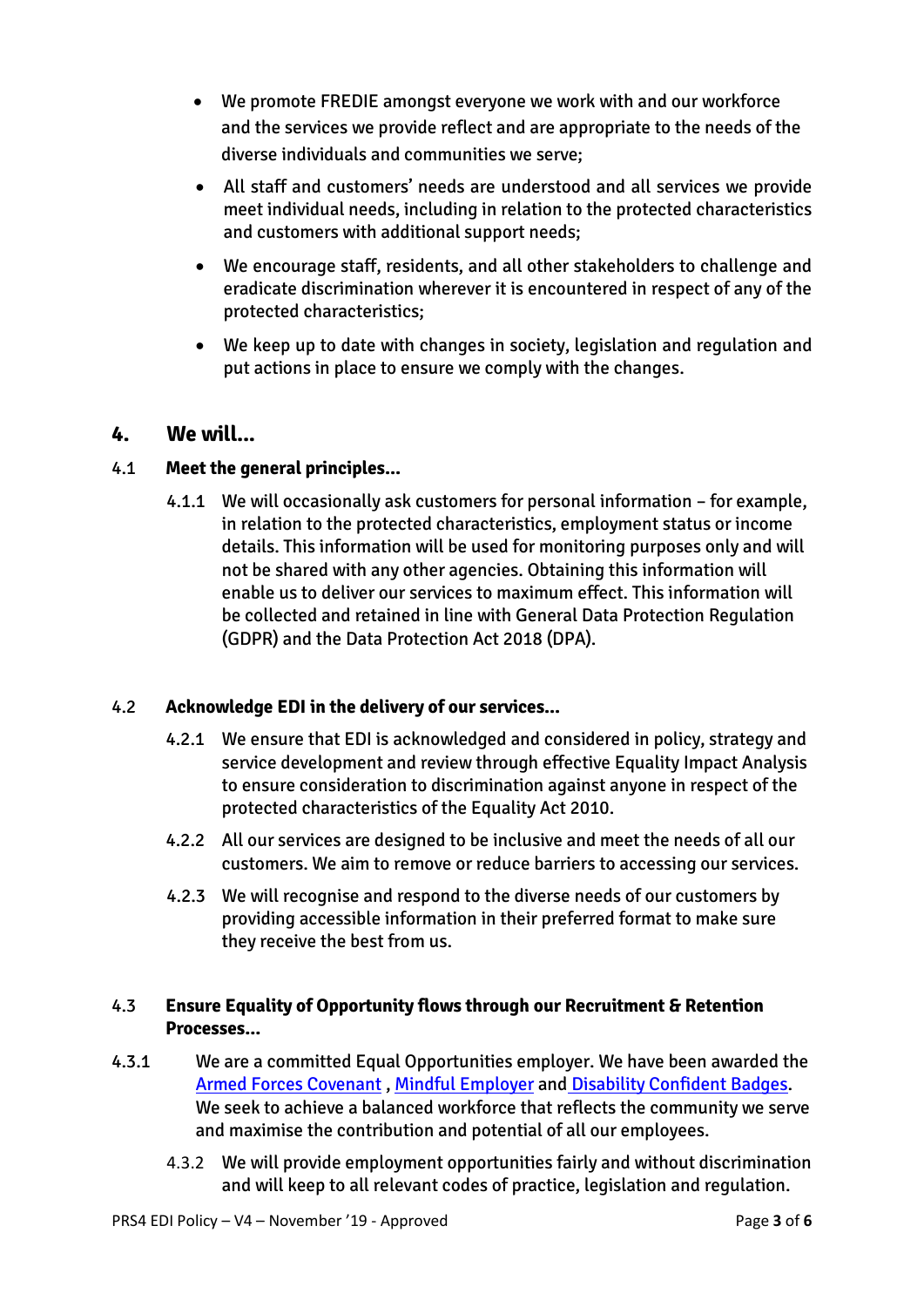- We promote FREDIE amongst everyone we work with and our workforce and the services we provide reflect and are appropriate to the needs of the diverse individuals and communities we serve;
- All staff and customers' needs are understood and all services we provide meet individual needs, including in relation to the protected characteristics and customers with additional support needs;
- We encourage staff, residents, and all other stakeholders to challenge and eradicate discrimination wherever it is encountered in respect of any of the protected characteristics;
- We keep up to date with changes in society, legislation and regulation and put actions in place to ensure we comply with the changes.

#### **4. We will...**

#### 4.1 **Meet the general principles...**

4.1.1 We will occasionally ask customers for personal information – for example, in relation to the protected characteristics, employment status or income details. This information will be used for monitoring purposes only and will not be shared with any other agencies. Obtaining this information will enable us to deliver our services to maximum effect. This information will be collected and retained in line with General Data Protection Regulation (GDPR) and the Data Protection Act 2018 (DPA).

#### 4.2 **Acknowledge EDI in the delivery of our services...**

- 4.2.1 We ensure that EDI is acknowledged and considered in policy, strategy and service development and review through effective Equality Impact Analysis to ensure consideration to discrimination against anyone in respect of the protected characteristics of the Equality Act 2010.
- 4.2.2 All our services are designed to be inclusive and meet the needs of all our customers. We aim to remove or reduce barriers to accessing our services.
- 4.2.3 We will recognise and respond to the diverse needs of our customers by providing accessible information in their preferred format to make sure they receive the best from us.

#### 4.3 **Ensure Equality of Opportunity flows through our Recruitment & Retention Processes...**

- 4.3.1 We are a committed Equal Opportunities employer. We have been awarded the [Armed Forces Covenant](https://www.armedforcescovenant.gov.uk/) , [Mindful Employer](https://www.dpt.nhs.uk/mindful-employer) and [Disability Confident Badges.](https://disabilityconfident.campaign.gov.uk/) We seek to achieve a balanced workforce that reflects the community we serve and maximise the contribution and potential of all our employees.
	- 4.3.2 We will provide employment opportunities fairly and without discrimination and will keep to all relevant codes of practice, legislation and regulation.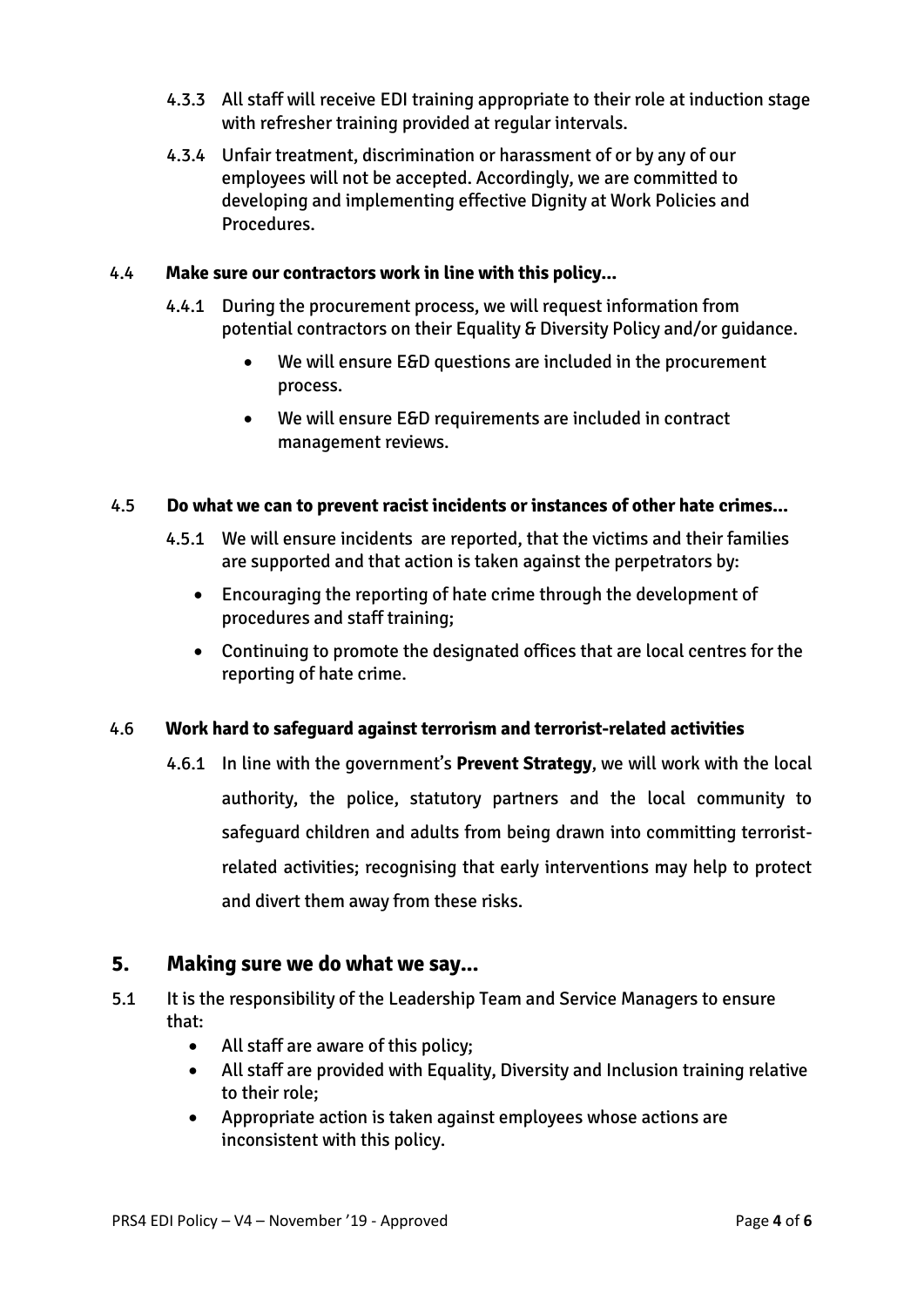- 4.3.3 All staff will receive EDI training appropriate to their role at induction stage with refresher training provided at regular intervals.
- 4.3.4 Unfair treatment, discrimination or harassment of or by any of our employees will not be accepted. Accordingly, we are committed to developing and implementing effective Dignity at Work Policies and Procedures.

#### 4.4 **Make sure our contractors work in line with this policy...**

- 4.4.1 During the procurement process, we will request information from potential contractors on their Equality & Diversity Policy and/or guidance.
	- We will ensure E&D questions are included in the procurement process.
	- We will ensure E&D requirements are included in contract management reviews.

#### 4.5 **Do what we can to prevent racist incidents or instances of other hate crimes...**

- 4.5.1 We will ensure incidents are reported, that the victims and their families are supported and that action is taken against the perpetrators by:
	- Encouraging the reporting of hate crime through the development of procedures and staff training;
	- Continuing to promote the designated offices that are local centres for the reporting of hate crime.

#### 4.6 **Work hard to safeguard against terrorism and terrorist-related activities**

4.6.1 In line with the government's **Prevent Strategy**, we will work with the local authority, the police, statutory partners and the local community to safeguard children and adults from being drawn into committing terroristrelated activities; recognising that early interventions may help to protect and divert them away from these risks.

#### **5. Making sure we do what we say...**

- 5.1 It is the responsibility of the Leadership Team and Service Managers to ensure that:
	- All staff are aware of this policy;
	- All staff are provided with Equality, Diversity and Inclusion training relative to their role;
	- Appropriate action is taken against employees whose actions are inconsistent with this policy.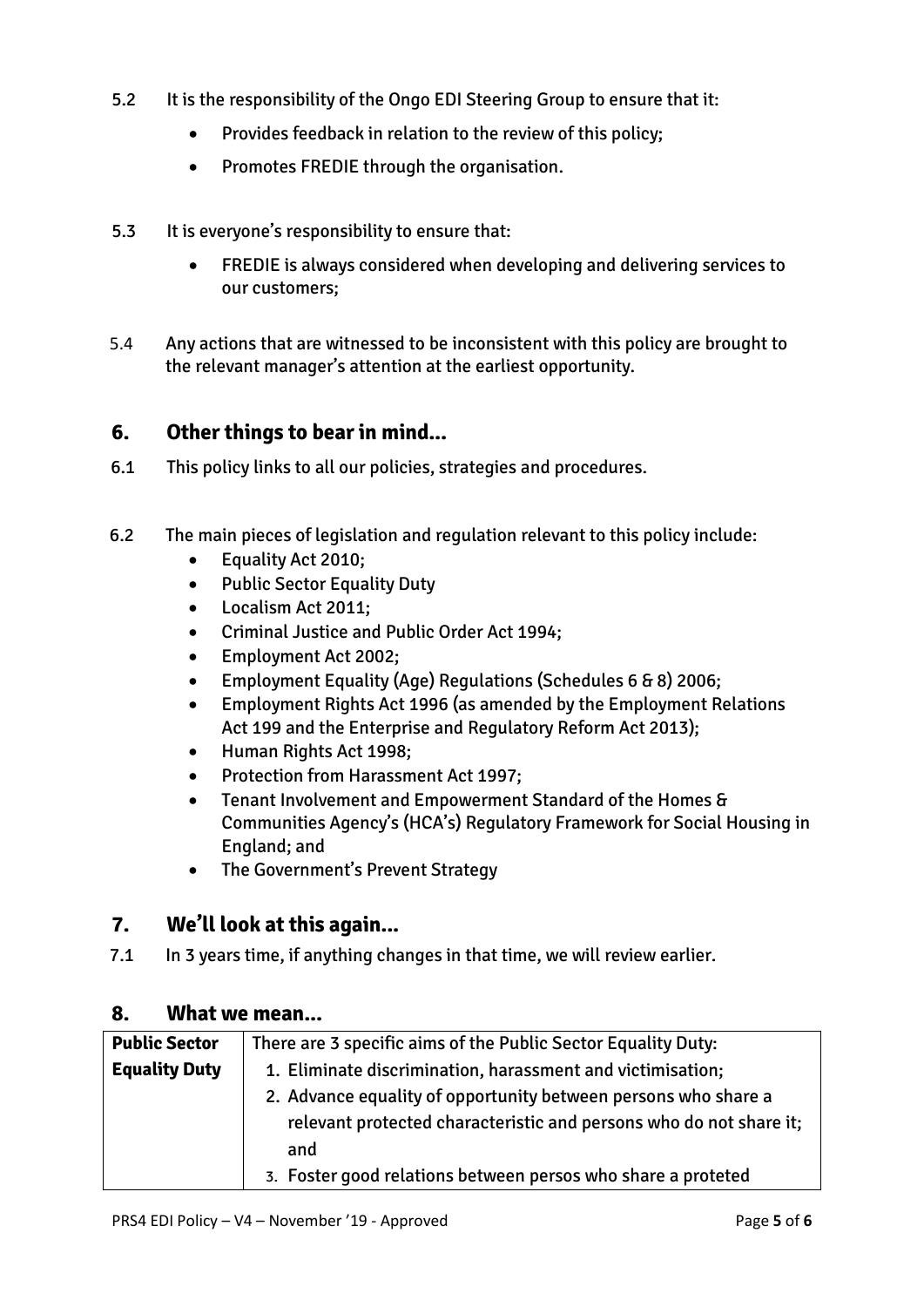- 5.2 It is the responsibility of the Ongo EDI Steering Group to ensure that it:
	- Provides feedback in relation to the review of this policy;
	- Promotes FREDIE through the organisation.
- 5.3 It is everyone's responsibility to ensure that:
	- FREDIE is always considered when developing and delivering services to our customers;
- 5.4 Any actions that are witnessed to be inconsistent with this policy are brought to the relevant manager's attention at the earliest opportunity.

## **6. Other things to bear in mind...**

- 6.1 This policy links to all our policies, strategies and procedures.
- 6.2 The main pieces of legislation and regulation relevant to this policy include:
	- Equality Act 2010;
	- Public Sector Equality Duty
	- Localism Act 2011;
	- Criminal Justice and Public Order Act 1994;
	- Employment Act 2002;
	- Employment Equality (Age) Regulations (Schedules 6 & 8) 2006;
	- Employment Rights Act 1996 (as amended by the Employment Relations Act 199 and the Enterprise and Regulatory Reform Act 2013);
	- Human Rights Act 1998;
	- Protection from Harassment Act 1997;
	- Tenant Involvement and Empowerment Standard of the Homes & Communities Agency's (HCA's) Regulatory Framework for Social Housing in England; and
	- The Government's Prevent Strategy

# **7. We'll look at this again...**

7.1 In 3 years time, if anything changes in that time, we will review earlier.

#### **8. What we mean...**

| <b>Public Sector</b> | There are 3 specific aims of the Public Sector Equality Duty:      |  |
|----------------------|--------------------------------------------------------------------|--|
| <b>Equality Duty</b> | 1. Eliminate discrimination, harassment and victimisation;         |  |
|                      | 2. Advance equality of opportunity between persons who share a     |  |
|                      | relevant protected characteristic and persons who do not share it; |  |
|                      | and                                                                |  |
|                      | 3. Foster good relations between persos who share a proteted       |  |